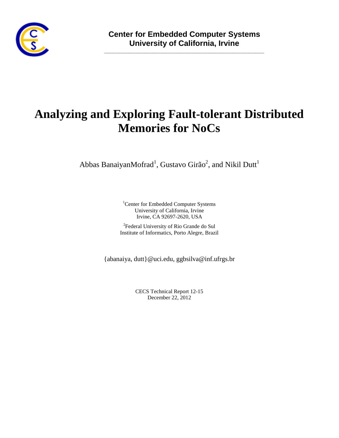

**\_\_\_\_\_\_\_\_\_\_\_\_\_\_\_\_\_\_\_\_\_\_\_\_\_\_\_\_\_\_\_\_\_\_\_\_\_\_\_\_\_\_\_\_\_\_\_\_\_\_\_\_**

# **Analyzing and Exploring Fault-tolerant Distributed Memories for NoCs**

Abbas Banaiyan $M$ ofrad $^1$ , Gustavo Girão $^2$ , and Nikil Dutt $^1$ 

<sup>1</sup>Center for Embedded Computer Systems University of California, Irvine Irvine, CA 92697-2620, USA

<sup>2</sup>Federal University of Rio Grande do Sul Institute of Informatics, Porto Alegre, Brazil

{abanaiya, dutt}@uci.edu, ggbsilva@inf.ufrgs.br

CECS Technical Report 12-15 December 22, 2012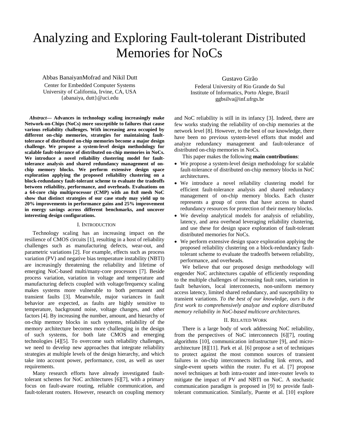# Analyzing and Exploring Fault-tolerant Distributed Memories for NoCs

Abbas BanaiyanMofrad and Nikil Dutt Center for Embedded Computer Systems University of California, Irvine, CA, USA

{abanaiya, dutt}@uci.edu

*Abstract***— Advances in technology scaling increasingly make Network-on-Chips (NoCs) more susceptible to failures that cause various reliability challenges. With increasing area occupied by different on-chip memories, strategies for maintaining faulttolerance of distributed on-chip memories become a major design challenge. We propose a system-level design methodology for scalable fault-tolerance of distributed on-chip memories in NoCs. We introduce a novel reliability clustering model for faulttolerance analysis and shared redundancy management of onchip memory blocks. We perform extensive design space exploration applying the proposed reliability clustering on a block-redundancy fault-tolerant scheme to evaluate the tradeoffs between reliability, performance, and overheads. Evaluations on a 64-core chip multiprocessor (CMP) with an 8x8 mesh NoC show that distinct strategies of our case study may yield up to 20% improvements in performance gains and 25% improvement in energy savings across different benchmarks, and uncover interesting design configurations.**

# I. INTRODUCTION

Technology scaling has an increasing impact on the resilience of CMOS circuits [\[1\],](#page-6-0) resulting in a host of reliability challenges such as manufacturing defects, wear-out, and parametric variations [\[2\].](#page-6-1) For example, effects such as process variation (PV) and negative bias temperature instability (NBTI) are increasingly threatening the reliability and lifetime of emerging NoC-based multi/many-core processors [\[7\].](#page-6-2) Beside process variation, variation in voltage and temperature and manufacturing defects coupled with voltage/frequency scaling makes systems more vulnerable to both permanent and transient faults [\[3\].](#page-6-3) Meanwhile, major variances in fault behavior are expected, as faults are highly sensitive to temperature, background noise, voltage changes, and other factors [\[4\].](#page-6-4) By increasing the number, amount, and hierarchy of on-chip memory blocks in such systems, reliability of the memory architecture becomes more challenging in the design of such systems, for both late CMOS and emerging technologies [\[4\]\[5\].](#page-6-4) To overcome such reliability challenges, we need to develop new approaches that integrate reliability strategies at multiple levels of the design hierarchy, and which take into account power, performance, cost, as well as user requirements.

Many research efforts have already investigated faulttolerant schemes for NoC architectures [\[6\]\[7\],](#page-6-5) with a primary focus on fault-aware routing, reliable communication, and fault-tolerant routers. However, research on coupling memory

Gustavo Girão

Federal University of Rio Grande do Sul Institute of Informatics, Porto Alegre, Brazil ggbsilva@inf.ufrgs.br

and NoC reliability is still in its infancy [\[3\].](#page-6-3) Indeed, there are few works studying the reliability of on-chip memories at the network level [\[8\].](#page-6-6) However, to the best of our knowledge, there have been no previous system-level efforts that model and analyze redundancy management and fault-tolerance of distributed on-chip memories in NoCs.

This paper makes the following **main contributions**:

- We propose a system-level design methodology for scalable fault-tolerance of distributed on-chip memory blocks in NoC architectures.
- We introduce a novel reliability clustering model for efficient fault-tolerance analysis and shared redundancy management of on-chip memory blocks. Each cluster represents a group of cores that have access to shared redundancy resources for protection of their memory blocks.
- We develop analytical models for analysis of reliability, latency, and area overhead leveraging reliability clustering, and use these for design space exploration of fault-tolerant distributed memories for NoCs.
- We perform extensive design space exploration applying the proposed reliability clustering on a block-redundancy faulttolerant scheme to evaluate the tradeoffs between reliability, performance, and overheads.

We believe that our proposed design methodology will engender NoC architectures capable of efficiently responding to the multiple challenges of increasing fault rates, variation in fault behaviors, local interconnects, non-uniform memory access latency, limited shared redundancy, and susceptibility to transient variations. *To the best of our knowledge, ours is the first work to comprehensively analyze and explore distributed memory reliability in NoC-based multicore architectures.*

## II. RELATED WORK

There is a large body of work addressing NoC reliability, from the perspectives of NoC interconnects [\[6\]\[7\],](#page-6-5) routing algorithm[s](#page-6-7) [\[10\],](#page-6-7) communication infrastructur[e](#page-6-8) [\[9\],](#page-6-8) and microarchitecture [\[8\]\[11\].](#page-6-6) Park et al. [\[6\]](#page-6-5) propose a set of techniques to protect against the most common sources of transient failures in on-chip interconnects including link errors, and single-event upsets within the router. Fu et al. [\[7\]](#page-6-2) propose novel techniques at both intra-router and inter-router levels to mitigate the impact of PV and NBTI on NoC. A stochastic communication paradigm is proposed i[n](#page-6-8) [\[9\]](#page-6-8) to provide faulttolerant communication. Similarly, Puente et al. [\[10\]](#page-6-7) explore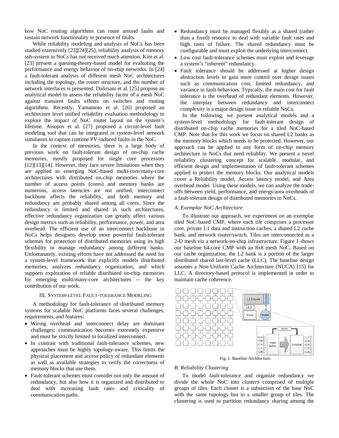how NoC routing algorithms can route around faults and sustain network functionality in presence of faults.

While reliability modeling and analysis of NoCs has been studied extensively [\[23\]\[24\]](#page-7-0)[\[25\],](#page-7-1) reliability analysis of memory sub-system in NoCs has not received much attention. Kim et al. [\[23\]](#page-7-0) present a queuing-theory-based model for evaluating the performance and energy behavior of on-chip networks. In [\[24\]](#page-7-2) a fault-tolerant analysis of different mesh NoC architectures including the topology, the router structure, and the number of network interfaces is presented. Dalirsani et al. [\[25\]](#page-7-1) propose an analytical model to assess the reliability factor of a mesh NoC against transient faults effects on switches and routing algorithms. Recently, Yamamoto et al. [\[26\]](#page-7-3) proposed an architecture level unified reliability evaluation methodology to explore the impact of NoC router layout on the system's lifetime. Aisopos et al. [\[27\]](#page-7-4) proposed a circuit-level fault modeling tool that can be integrated in system-level network simulators to capture runtime PV-induced faults in the NoC.

In the context of memories, there is a large body of previous work on fault-tolerant design of on-chip cache memories, mostly proposed for single core processors [\[12\]\[13\]](#page-6-9)[\[14\].](#page-7-5) However, they face severe limitations when they are applied to emerging NoC-based multi-core/many-core architectures with distributed on-chip memories where the number of access points (cores) and memory banks are numerous, access latencies are not unified, interconnect backbone affects the reliability, and both memory and redundancy are probably shared among all cores. Since the redundancy is limited and shared in such architectures, effective redundancy organization can greatly affect various design metrics such as reliability, performance, power, and area overhead. The efficient use of an interconnect backbone in NoCs helps designers develop more powerful fault-tolerant schemes for protection of distributed memories using its high flexibility to manage redundancy among different banks. Unfortunately, existing efforts have not addressed the need for a system-level framework that explicitly models distributed memories, analyzes redundancy organization, and which supports exploration of reliable distributed on-chip memories for emerging multi/many-core architectures -- the key contribution of our work.

# III. SYSTEM-LEVEL FAULT-TOLERANCE MODELING

A methodology for fault-tolerance of distributed memory systems for scalable NoC platforms faces several challenges, requirements, and features:

- Wiring overhead and interconnect delay are dominant challenges; communication becomes extremely expensive and must be strictly limited to localized interconnect.
- In contrast with traditional fault-tolerance schemes, new approaches must be highly topology-aware. This limits the physical placement and access policy of redundant elements as well as available strategies to verify the correctness of memory blocks that use them.
- Fault-tolerant schemes must consider not only the amount of redundancy, but also how it is organized and distributed to deal with increasing fault rates and criticality of communication paths.
- Redundancy must be managed flexibly as a shared (rather than a fixed) resource to deal with variable fault rates and high rates of failure. The shared redundancy must be configurable and must exploit the underlying interconnect.
- Low cost fault-tolerance schemes must exploit and leverage a system's "inherent" redundancy.
- Fault tolerance should be addressed at higher design abstraction levels to gain more control over design issues such as communication cost, limited redundancy, and variance in fault behaviors. Typically, the main cost for fault tolerance is the overhead of redundant elements. However, the interplay between redundancy and interconnect complexity is a major design issue in reliable NoCs.

In the following, we present analytical models and a system-level methodology for fault-tolerant design of distributed on-chip cache memories for a tiled NoC-based CMP. Note that for this work we focus on shared L2 banks as the memory blocks which needs to be protected. However, our approach can be applied to any form of on-chip memory architecture in NoCs that need reliablity. We present a novel reliability clustering concept for scalable, modular, and efficient design and implementation of fault-tolerant schemes applied to protect the memory blocks. Our analytical models cover a Reliability model, Access latency model, and Area overhead model. Using these models, we can analyze the tradeoffs between yield, performance, and energy/area overheads of a fault-tolerant design of distributed memories in NoCs.

# *A. Exemplar NoC Architecture*

To illustrate our approach, we experiment on an exemplar tiled NoC-based CMP, where each tile comprises a processor core, private L1 data and instruction caches, a shared L2 cache bank, and network router/switch. Tiles are interconnected as a 2-D mesh via a network-on-chip infrastructure. Figure 1 shows our baseline 64-core CMP with an 8x8 mesh NoC. Based on our cache organization, the L2 bank is a portion of the larger distributed shared last-level cache (LLC). The baseline design assumes a Non-Uniform Cache Architecture (NUCA) [\[15\]](#page-7-6) for LLC. A directory-based protocol is implemented in order to maintain cache coherence.



Fig. 1. Baseline Architecture.

# *B. Reliability Clustering*

To model fault-tolerance and organize redundancy we divide the whole NoC into *clusters* comprised of multiple groups of tiles. Each cluster is a subsection of the base NoC with the same topology but in a smaller group of tiles. The clustering is used to partition redundancy sharing among the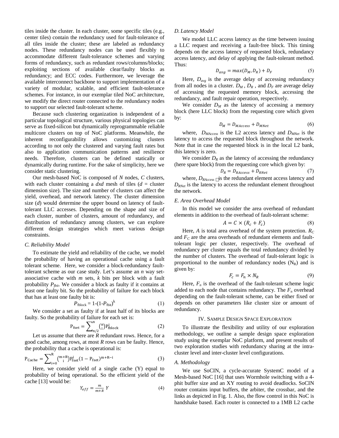tiles inside the cluster. In each cluster, some specific tiles (e.g., center tiles) contain the redundancy used for fault-tolerance of all tiles inside the cluster; these are labeled as redundancy nodes. These redundancy nodes can be used flexibly to accommodate different fault-tolerance schemes and varying forms of redundancy, such as redundant rows/columns/blocks; exploiting sections of available clear/faulty blocks as redundancy; and ECC codes. Furthermore, we leverage the available interconnect backbone to support implementation of a variety of modular, scalable, and efficient fault-tolerance schemes. For instance, in our exemplar tiled NoC architecture, we modify the direct router connected to the redundancy nodes to support our selected fault-tolerant scheme.

Because such clustering organization is independent of a particular topological structure, various physical topologies can serve as fixed-silicon but dynamically reprogrammable reliable multicore clusters on top of NoC platforms. Meanwhile, the inherent reconfigurability allows customizing clusters according to not only the clustered and varying fault rates but also to application communication patterns and resilience needs. Therefore, clusters can be defined statically or dynamically during runtime. For the sake of simplicity, here we consider static clustering.

Our mesh-based NoC is composed of *N* nodes, *C* clusters, with each cluster containing a  $dx/d$  mesh of tiles  $(d =$  cluster dimension size). The size and number of clusters can affect the yield, overhead, and network latency. The cluster dimension size (*d*) would determine the upper bound on latency of faulttolerant LLC accesses. Depending on the shape and size of each cluster, number of clusters, amount of redundancy, and distribution of redundancy among clusters, we can explore different design strategies which meet various design constraints.

#### *C. Reliability Model*

To estimate the yield and reliability of the cache, we model the probability of having an operational cache using a fault tolerant scheme. Here, we consider a block-redundancy faulttolerant scheme as our case study. Let's assume an *n* way setassociative cache with *m* sets, *k* bits per block with a fault probability  $P_{\text{b}it}$ . We consider a block as faulty if it contains at least one faulty bit. So the probability of failure for each block that has at least one faulty bit is:

$$
P_{\text{fblock}} = 1 - (1 - P_{\text{fbit}})^k \tag{1}
$$

We consider a set as faulty if at least half of its blocks are faulty. So the probability of failure for each set is:

$$
P_{\text{fset}} = \sum_{n/2}^{n} \binom{n}{i} P_{\text{fblock}}^{i} \tag{2}
$$

Let us assume that there are *R* redundant rows. Hence, for a good cache, among rows, at most *R* rows can be faulty. Hence, the probability that a cache is operational is:

$$
P_{\text{Cache}} = \sum_{i=0}^{R} \binom{m+R}{i} P_{\text{fset}}^i (1 - P_{\text{fset}})^{m+R-i} \tag{3}
$$

Here, we consider yield of a single cache (Y) equal to probability of being operational. So the efficient yield of the cache [\[13\]](#page-6-10) would be:

$$
Y_{eff} = \frac{m}{m+R} Y \tag{4}
$$

# *D. Latency Model*

We model LLC access latency as the time between issuing a LLC request and receiving a fault-free block. This timing depends on the access latency of requested block, redundancy access latency, and delay of applying the fault-tolerant method. Thus:

$$
D_{avg} = max(D_M, D_R) + D_F \tag{5}
$$

Here,  $D_{\text{ave}}$  is the average delay of accessing redundancy from all nodes in a cluster.  $D_M$ ,  $D_R$ , and  $D_F$  are average delay of accessing the requested memory block, accessing the redundancy, and fault repair operation, respectively.

We consider  $D_M$  as the latency of accessing a memory block (here LLC block) from the requesting core which given by:

$$
D_M = D_{MACess} + D_{MNet} \tag{6}
$$

where, *DMAccess* is the L2 access latency and *DMNet* is the latency to access the requested block throughout the network. Note that in case the requested block is in the local L2 bank, this latency is zero.

We consider  $D_R$  as the latency of accessing the redundancy (here spare block) from the requesting core which given by:

$$
D_R = D_{RAccess} + D_{RNet} \tag{7}
$$

where,  $D_{RAccess}$  is the redundant element access latency and *DRNet* is the latency to access the redundant element throughout the network.

# *E. Area Overhead Model*

In this model we consider the area overhead of redundant elements in addition to the overhead of fault-tolerant scheme:

$$
A = C \times (R_c + F_c) \tag{8}
$$

Here,  $A$  is total area overhead of the system protection.  $R_C$ and  $F_C$  are the area overheads of redundant elements and faulttolerant logic per cluster, respectively. The overhead of redundancy per cluster equals the total redundancy divided by the number of clusters. The overhead of fault-tolerant logic is proportional to the number of redundancy nodes  $(N_R)$  and is given by:

$$
F_c = F_n \times N_R \tag{9}
$$

Here,  $F_n$  is the overhead of the fault-tolerant scheme logic added to each node that contains redundancy. The  $F_n$  overhead depending on the fault-tolerant scheme, can be either fixed or depends on other parameters like cluster size or amount of redundancy.

### IV. SAMPLE DESIGN SPACE EXPLORATION

To illustrate the flexibility and utility of our exploration methodology, we outline a sample design space exploration study using the exemplar NoC platform, and present results of two exploration studies with redundancy sharing at the intracluster level and inter-cluster level configurations.

#### *A. Methodology*

We use SoCIN, a cycle-accurate SystemC model of a Mesh-based NoC [\[16\]](#page-7-7) that uses Wormhole switching with a 4 phit buffer size and an XY routing to avoid deadlocks. SoCIN router contains input buffers, the arbiter, the crossbar, and the links as depicted in Fig. 1. Also, the flow control in this NoC is handshake based. Each router is connected to a 1MB L2 cache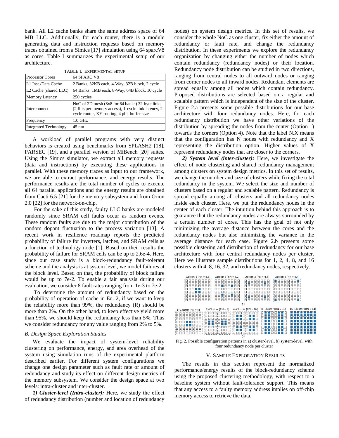bank. All L2 cache banks share the same address space of 64 MB LLC. Additionally, for each router, there is a module generating data and instruction requests based on memory traces obtained from a Simic[s \[17\]](#page-7-8) simulation using 64 sparcV8 as cores. Table I summarizes the experimental setup of our architecture.

| TABLE I. EXPERIMENTAL SETUP       |                                                                                                                                                          |
|-----------------------------------|----------------------------------------------------------------------------------------------------------------------------------------------------------|
| <b>Processor Cores</b>            | 64 SPARC V8                                                                                                                                              |
| L1 Inst./Data Cache               | 2 Banks, 32KB each, 4-Way, 32B block, 2 cycle                                                                                                            |
| L <sub>2</sub> Cache (shared LLC) | 64 Banks, 1MB each, 8-Way, 64B block, 10 cycle                                                                                                           |
| Memory Latency                    | 250 cycles                                                                                                                                               |
| Interconnect                      | NoC of 2D mesh (8x8 for 64 banks) 32-byte links<br>(2 flits per memory access), 1-cycle link latency, 2-<br>cycle router, XY routing, 4 phit buffer size |
| Frequency                         | $1.0$ GHz                                                                                                                                                |
| <b>Integrated Technology</b>      | $45 \text{ nm}$                                                                                                                                          |

A workload of parallel programs with very distinct behaviors is created using benchmarks from SPLASH[2](#page-7-9) [\[18\],](#page-7-9)  PARSEC [\[19\],](#page-7-10) and a parallel version of MiBench [\[20\]](#page-7-11) suites. Using the Simics simulator, we extract all memory requests (data and instructions) by executing these applications in parallel. With these memory traces as input to our framework, we are able to extract performance, and energy results. The performance results are the total number of cycles to execute all 64 parallel applications and the energy results are obtained from Cacti 6.5 [\[21\]](#page-7-12) for the memory subsystem and from Orion 2.0 [\[22\]](#page-7-13) for the network-on-chip.

For the sake of this study, faulty LLC banks are modeled randomly since SRAM cell faults occur as random events. These random faults are due to the major contribution of the random dopant fluctuation to the process variatio[n](#page-6-10) [\[13\].](#page-6-10) A recent work in resilience roadmap reports the predicted probability of failure for inverters, latches, and SRAM cells as a function of technology node [\[1\].](#page-6-0) Based on their results the probability of failure for SRAM cells can be up to 2.6e-4. Here, since our case study is a block-redundancy fault-tolerant scheme and the analysis is at system level, we model failures at the block level. Based on that, the probability of block failure would be up to 7e-2. To enable a fair analysis during our evaluation, we consider 8 fault rates ranging from 1e-3 to 7e-2.

To determine the amount of redundancy based on the probability of operation of cache in Eq. 2, if we want to keep the reliability more than 99%, the redundancy (R) should be more than 2%. On the other hand, to keep effective yield more than 95%, we should keep the redundancy less than 5%. Thus we consider redundancy for any value ranging from 2% to 5%.

# *B. Design Space Exploration Studies*

We evaluate the impact of system-level reliability clustering on performance, energy, and area overhead of the system using simulation runs of the experimental platform described earlier. For different system configurations we change one design parameter such as fault rate or amount of redundancy and study its effect on different design metrics of the memory subsystem. We consider the design space at two levels: intra-cluster and inter-cluster.

*1) Cluster-level (Intra-cluster):* Here, we study the effect of redundancy distribution (number and location of redundancy nodes) on system design metrics. In this set of results, we consider the whole NoC as one cluster, fix either the amount of redundancy or fault rate, and change the redundancy distribution. In these experiments we explore the redundancy organization by changing either the number of nodes which contain redundancy (redundancy nodes) or their location. Redundancy node distribution can be studied in two directions, ranging from central nodes to all outward nodes or ranging from corner nodes to all inward nodes. Redundant elements are spread equally among all nodes which contain redundancy. Proposed distributions are selected based on a regular and scalable pattern which is independent of the size of the cluster. Figure 2.a presents some possible distributions for our base architecture with four redundancy nodes. Here, for each redundancy distribution we have other variations of the distribution by spreading the nodes from the center (Option 1) towards the corners (Option 4). Note that the label N.X means that the configuration has N nodes with redundancy and X representing the distribution option. Higher values of X represent redundancy nodes that are closer to the corners.

*2) System level (inter-cluster):* Here, we investigate the effect of node clustering and shared redundancy management among clusters on system design metrics. In this set of results, we change the number and size of clusters while fixing the total redundancy in the system. We select the size and number of clusters based on a regular and scalable pattern. Redundancy is spread equally among all clusters and all redundancy nodes inside each cluster. Here, we put the redundancy nodes in the center of each cluster. The intuition behind this approach is to guarantee that the redundancy nodes are always surrounded by a certain number of cores. This has the goal of not only minimizing the average distance between the cores and the redundancy nodes but also minimizing the variance in the average distance for each case. Figure 2.b presents some possible clustering and distribution of redundancy for our base architecture with four central redundancy nodes per cluster. Here we illustrate sample distributions for 1, 2, 4, 8, and 16 clusters with 4, 8, 16, 32, and redundancy nodes, respectively.



Fig. 2. Possible configuration patterns in a) cluster-level, b) system-level, with four redundancy node per cluster

## V. SAMPLE EXPLORATION RESULTS

The results in this section represent the normalized performance/energy results of the block-redundancy scheme using the proposed clustering methodology, with respect to a baseline system without fault-tolerance support. This means that any access to a faulty memory address implies on off-chip memory access to retrieve the data.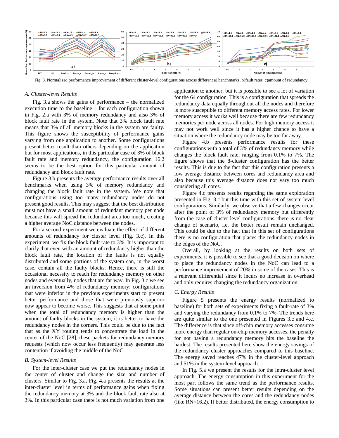

Fig. 3. Normalized performance improvement of different cluster-level configurations across different a) benchmarks, b)fault rates, c)amount of redundancy

#### *A. Cluster-level Results*

Fig. 3.a shows the gains of performance – the normalized execution time to the baseline – for each configuration shown in Fig. 2.a with 3% of memory redundancy and also 3% of block fault rate in the system. Note that 3% block fault rate means that 3% of all memory blocks in the system are faulty. This figure shows the susceptibility of performance gains varying from one application to another. Some configurations present better result than others depending on the application but for most applications, in this particular case of 3% of block fault rate and memory redundancy, the configuration 16.2 seems to be the best option for this particular amount of redundancy and block fault rate.

Figure 3.b presents the average performance results over all benchmarks when using 3% of memory redundancy and changing the block fault rate in the system. We note that configurations using too many redundancy nodes do not present good results. This may suggest that the best distribution must not have a small amount of redundant memory per node because this will spread the redundant area too much, creating a higher average NoC distance between the nodes.

For a second experiment we evaluate the effect of different amounts of redundancy for cluster level (Fig. 3.c). In this experiment, we fix the block fault rate to 3%. It is important to clarify that even with an amount of redundancy higher than the block fault rate, the location of the faults is not equally distributed and some portions of the system can, in the worst case, contain all the faulty blocks. Hence, there is still the occasional necessity to reach for redundancy memory on other nodes and eventually, nodes that are far way. In Fig. 3.c we see an inversion from 4% of redundancy memory: configurations that were inferior in the previous experiments start to present better performance and those that were previously superior now appear to become worse. This suggests that at some point when the total of redundancy memory is higher than the amount of faulty blocks in the system, it is better to have the redundancy nodes in the corners. This could be due to the fact that as the XY routing tends to concentrate the load in the center of the NoC [\[28\],](#page-7-14) these packets for redundancy memory requests (which now occur less frequently) may generate less contention if avoiding the middle of the NoC.

#### *B. System-level Results*

For the inter-cluster case we put the redundancy nodes in the center of cluster and change the size and number of clusters. Similar to Fig. 3.a, Fig. 4.a presents the results at the inter-cluster level in terms of performance gains when fixing the redundancy memory at 3% and the block fault rate also at 3%. In this particular case there is not much variation from one

application to another, but it is possible to see a lot of variation for the 64 configuration. This is a configuration that spreads the redundancy data equally throughout all the nodes and therefore is more susceptible to different memory access rates. For lower memory access it works well because there are few redundancy memories per node across all nodes. For high memory access it may not work well since it has a higher chance to have a situation where the redundancy node may be too far away.

Figure 4.b presents performance results for these configurations with a total of 3% of redundancy memory while changes the block fault rate, ranging from 0.1% to 7%. The figure shows that the 8-cluster configuration has the better results. This is due to the fact that this configuration presents a low average distance between cores and redundancy area and also because this average distance does not vary too much considering all cores.

Figure 4.c presents results regarding the same exploration presented in Fig. 3.c but this time with this set of system level configurations. Similarly, we observe that a few changes occur after the point of 3% of redundancy memory but differently from the case of cluster level configurations, there is no clear change of scenario, i.e. the better result remain unchanged. This could be due to the fact that in this set of configurations there is no configuration that places the redundancy nodes in the edges of the NoC.

Overall, by looking at the results on both sets of experiments, it is possible to see that a good decision on where to place the redundancy nodes in the NoC can lead to a performance improvement of 20% in some of the cases. This is a relevant differential since it incurs no increase in overhead and only requires changing the redundancy organization.

#### *C. Energy Results*

Figure 5 presents the energy results (normalized to baseline) for both sets of experiments fixing a fault-rate of 3% and varying the redundancy from 0.1% to 7%. The trends here are quite similar to the one presented in Figures 3.c and 4.c. The difference is that since off-chip memory accesses consume more energy than regular on-chip memory accesses, the penalty for not having a redundancy memory hits the baseline the hardest. The results presented here show the energy savings of the redundancy cluster approaches compared to this baseline. The energy saved reaches 47% in the cluster-level approach and 51% in the system-level approach.

In Fig. 5.a we present the results for the intra-cluster level approach. The energy consumption in this experiment for the most part follows the same trend as the performance results. Some situations can present better results depending on the average distance between the cores and the redundancy nodes (like RN=16.2). If better distributed, the energy consumption to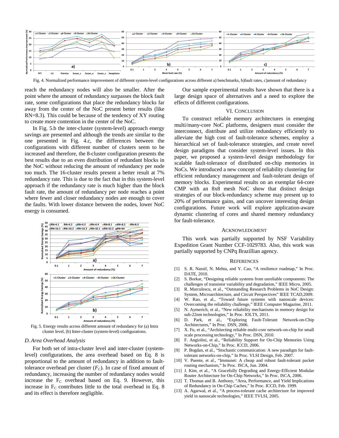

Fig. 4. Normalized performance improvement of different system-level configurations across different a) benchmarks, b)fault rates, c)amount of redundancy

reach the redundancy nodes will also be smaller. After the point where the amount of redundancy surpasses the block fault rate, some configurations that place the redundancy blocks far away from the center of the NoC present better results (like RN=8.3). This could be because of the tendency of XY routing to create more contention in the center of the NoC.

In Fig. 5.b the inter-cluster (system-level) approach energy savings are presented and although the trends are similar to the one presented in Fig. 4.c, the differences between the configurations with different number of clusters seem to be increased and therefore, the 8-cluster configuration presents the best results due to an even distribution of redundant blocks in the NoC without reducing the amount of redundancy per node too much. The 16-cluster results present a better result at 7% redundancy rate. This is due to the fact that in this system-level approach if the redundancy rate is much higher than the block fault rate, the amount of redundancy per node reaches a point where fewer and closer redundancy nodes are enough to cover the faults. With lower distance between the nodes, lower NoC energy is consumed.



Fig. 5. Energy results across different amount of redundancy for (a) Intra cluster level, (b) Inter-cluster (system-level) configurations.

# *D. Area Overhead Analysis*

For both set of intra-cluster level and inter-cluster (systemlevel) configurations, the area overhead based on Eq. 8 is proportional to the amount of redundancy in addition to faulttolerance overhead per cluster  $(F_C)$ . In case of fixed amount of redundancy, increasing the number of redundancy nodes would increase the  $F_C$  overhead based on Eq. 9. However, this increase in  $F_C$  contributes little to the total overhead in Eq. 8 and its effect is therefore negligible.

Our sample experimental results have shown that there is a large design space of alternatives and a need to explore the effects of different configurations.

# VI. CONCLUSION

To construct reliable memory architectures in emerging multi/many-core NoC platforms, designers must consider the interconnect, distribute and utilize redundancy efficiently to alleviate the high cost of fault-tolerance schemes, employ a hierarchical set of fault-tolerance strategies, and create novel design paradigms that consider system-level issues. In this paper, we proposed a system-level design methodology for scalable fault-tolerance of distributed on-chip memories in NoCs. We introduced a new concept of reliability clustering for efficient redundancy management and fault-tolerant design of memory blocks. Experimental results on an exemplar 64-core CMP with an 8x8 mesh NoC show that distinct design strategies of our block-redundancy scheme may present up to 20% of performance gains, and can uncover interesting design configurations. Future work will explore application-aware dynamic clustering of cores and shared memory redundancy for fault-tolerance.

#### ACKNOWLEDGMENT

This work was partially supported by NSF Variability Expedition Grant Number CCF-1029783. Also, this work was partially supported by CNPq Brazillian agency.

## **REFERENCES**

- <span id="page-6-0"></span>[1] S. R. Nassif, N. Mehta, and Y. Cao, "A resilience roadmap," In Proc. DATE, 2010.
- <span id="page-6-1"></span>[2] S. Borkar, "Designing reliable systems from unreliable components: The challenges of transistor variability and degradation," IEEE Micro, 2005.
- <span id="page-6-3"></span>[3] R. Marculescu, et al., "Outstanding Research Problems in NoC Design: System, Microarchitecture, and Circuit Perspectives" IEEE TCAD,2009.
- <span id="page-6-4"></span>[4] W. Rao, et al., "Toward future systems with nanoscale devices: Overcoming the reliability challenge," IEEE Computer Magazine, 2011.
- [5] N. Aymerich, et al., "New reliability mechanisms in memory design for sub-22nm technologies," In Proc. IOLTS, 2011.
- <span id="page-6-5"></span>[6] D. Park, et al., "Exploring Fault-Tolerant Network-on-Chip Architectures," In Proc. DSN, 2006.
- <span id="page-6-2"></span>[7] X. Fu, et al., "Architecting reliable multi-core network-on-chip for small scale processing technology," In Proc. DSN, 2010.
- <span id="page-6-6"></span>[8] F. Angiolini, et al., "Reliability Support for On-Chip Memories Using Networks-on-Chip," In Proc. ICCD, 2006.
- <span id="page-6-8"></span>[9] P. Bogdan, et al., "Stochastic communication: A new paradigm for faulttolerant networks-on-chip," In Proc. VLSI Design, Feb. 2007.
- <span id="page-6-7"></span>[10] V. Puente, et al., "Immunet: A cheap and robust fault-tolerant packet routing mechanism," In Proc. ISCA, Jun. 2004.
- [11] J. Kim, et al., "A Gracefully Degrading and Energy-Efficient Modular Router Architecture for On-Chip Networks," In Proc. ISCA, 2006.
- <span id="page-6-9"></span>[12] T. Thomas and B. Anthony, "Area, Performance, and Yield Implications of Redundancy in On-Chip Caches," In Proc. ICCD, Feb. 1999.
- <span id="page-6-10"></span>[13] A. Agarwal, et al., "A process-tolerant cache architecture for improved yield in nanoscale technologies," IEEE TVLSI, 2005.